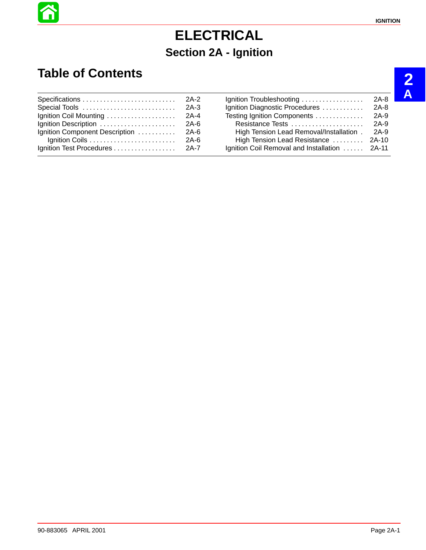# **ELECTRICAL Section 2A - Ignition**

## **Table of Contents**

|                                |      | Ignition Troubleshooting                      | 2A-8   |
|--------------------------------|------|-----------------------------------------------|--------|
|                                |      | Ignition Diagnostic Procedures                | $2A-8$ |
|                                |      | Testing Ignition Components                   | $2A-9$ |
|                                |      | Resistance Tests                              | 2A-9   |
| Ignition Component Description | 2A-6 | High Tension Lead Removal/Installation.       | 2A-9   |
|                                |      | High Tension Lead Resistance  2A-10           |        |
|                                |      | Ignition Coil Removal and Installation  2A-11 |        |

**2 A**

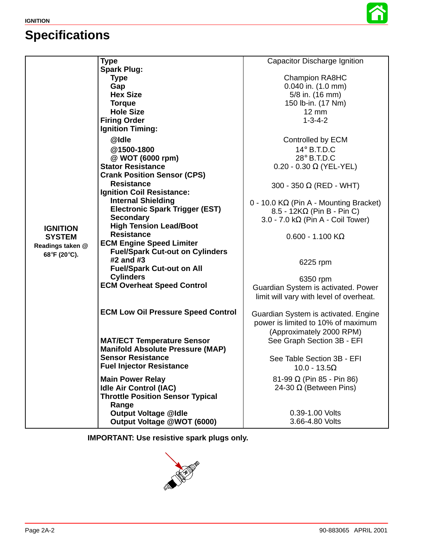# **Specifications**



|                                  | <b>Type</b>                               | Capacitor Discharge Ignition                  |
|----------------------------------|-------------------------------------------|-----------------------------------------------|
|                                  | <b>Spark Plug:</b>                        |                                               |
|                                  | <b>Type</b>                               | <b>Champion RA8HC</b>                         |
|                                  | Gap                                       | 0.040 in. (1.0 mm)                            |
|                                  | <b>Hex Size</b>                           | 5/8 in. (16 mm)                               |
|                                  | <b>Torque</b>                             | 150 lb-in. (17 Nm)                            |
|                                  | <b>Hole Size</b>                          | $12 \, \text{mm}$                             |
|                                  | <b>Firing Order</b>                       | $1 - 3 - 4 - 2$                               |
|                                  | <b>Ignition Timing:</b>                   |                                               |
|                                  | @Idle                                     | Controlled by ECM                             |
|                                  | @1500-1800                                | $14^\circ$ B.T.D.C                            |
|                                  | @ WOT (6000 rpm)                          | 28° B.T.D.C                                   |
|                                  | <b>Stator Resistance</b>                  | $0.20 - 0.30 \Omega$ (YEL-YEL)                |
|                                  | <b>Crank Position Sensor (CPS)</b>        |                                               |
|                                  | <b>Resistance</b>                         | 300 - 350 $\Omega$ (RED - WHT)                |
|                                  | <b>Ignition Coil Resistance:</b>          |                                               |
|                                  | <b>Internal Shielding</b>                 | $0 - 10.0 K\Omega$ (Pin A - Mounting Bracket) |
| <b>IGNITION</b>                  | <b>Electronic Spark Trigger (EST)</b>     | $8.5 - 12K\Omega$ (Pin B - Pin C)             |
|                                  | <b>Secondary</b>                          | 3.0 - 7.0 k $\Omega$ (Pin A - Coil Tower)     |
|                                  | <b>High Tension Lead/Boot</b>             |                                               |
| <b>SYSTEM</b>                    | <b>Resistance</b>                         | $0.600 - 1.100$ K $\Omega$                    |
| Readings taken @<br>68°F (20°C). | <b>ECM Engine Speed Limiter</b>           |                                               |
|                                  | <b>Fuel/Spark Cut-out on Cylinders</b>    |                                               |
|                                  | #2 and #3                                 | 6225 rpm                                      |
|                                  | <b>Fuel/Spark Cut-out on All</b>          |                                               |
|                                  | <b>Cylinders</b>                          | 6350 rpm                                      |
|                                  | <b>ECM Overheat Speed Control</b>         | Guardian System is activated. Power           |
|                                  |                                           | limit will vary with level of overheat.       |
|                                  | <b>ECM Low Oil Pressure Speed Control</b> |                                               |
|                                  |                                           | Guardian System is activated. Engine          |
|                                  |                                           | power is limited to 10% of maximum            |
|                                  |                                           | (Approximately 2000 RPM)                      |
|                                  | <b>MAT/ECT Temperature Sensor</b>         | See Graph Section 3B - EFI                    |
|                                  | <b>Manifold Absolute Pressure (MAP)</b>   |                                               |
|                                  | <b>Sensor Resistance</b>                  | See Table Section 3B - EFI                    |
|                                  | <b>Fuel Injector Resistance</b>           | $10.0 - 13.5\Omega$                           |
|                                  | <b>Main Power Relay</b>                   | 81-99 $\Omega$ (Pin 85 - Pin 86)              |
|                                  | <b>Idle Air Control (IAC)</b>             | 24-30 $\Omega$ (Between Pins)                 |
|                                  | <b>Throttle Position Sensor Typical</b>   |                                               |
|                                  | Range                                     |                                               |
|                                  | <b>Output Voltage @Idle</b>               | 0.39-1.00 Volts                               |
|                                  | Output Voltage @WOT (6000)                | 3.66-4.80 Volts                               |

**IMPORTANT: Use resistive spark plugs only.**

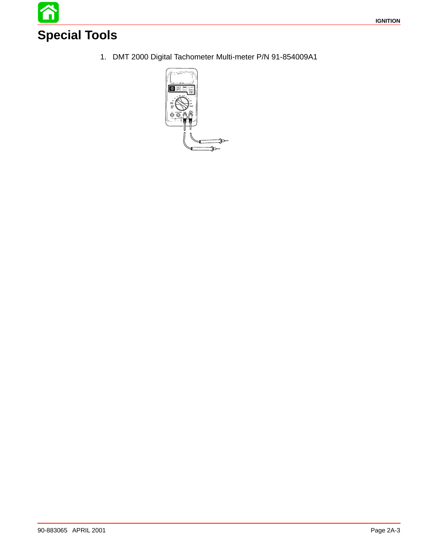

1. DMT 2000 Digital Tachometer Multi-meter P/N 91-854009A1

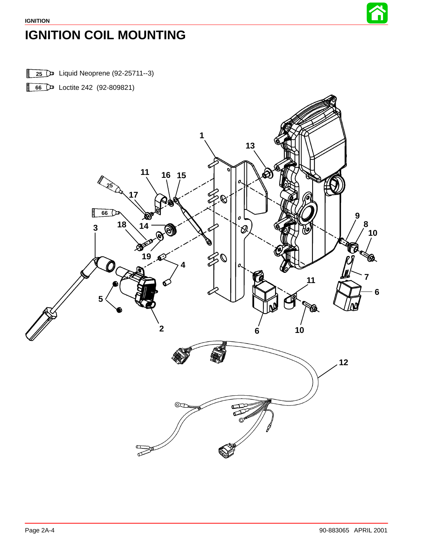

# <span id="page-3-0"></span>**IGNITION COIL MOUNTING**

Liquid Neoprene (92-25711--3)

D Loctite 242 (92-809821)

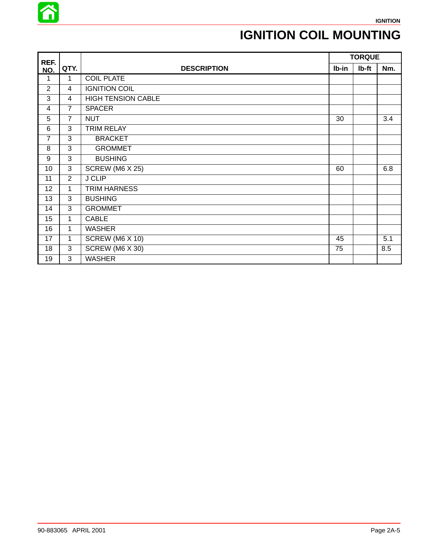

## **IGNITION COIL MOUNTING**

| REF.           |                |                           |       | <b>TORQUE</b> |     |
|----------------|----------------|---------------------------|-------|---------------|-----|
| NO.            | QTY.           | <b>DESCRIPTION</b>        | lb-in | Ib-ft         | Nm. |
| 1              | 1              | <b>COIL PLATE</b>         |       |               |     |
| $\overline{2}$ | 4              | <b>IGNITION COIL</b>      |       |               |     |
| 3              | $\overline{4}$ | <b>HIGH TENSION CABLE</b> |       |               |     |
| 4              | $\overline{7}$ | <b>SPACER</b>             |       |               |     |
| 5              | $\overline{7}$ | <b>NUT</b>                | 30    |               | 3.4 |
| 6              | 3              | <b>TRIM RELAY</b>         |       |               |     |
| $\overline{7}$ | 3              | <b>BRACKET</b>            |       |               |     |
| 8              | 3              | <b>GROMMET</b>            |       |               |     |
| 9              | $\overline{3}$ | <b>BUSHING</b>            |       |               |     |
| 10             | 3              | <b>SCREW (M6 X 25)</b>    | 60    |               | 6.8 |
| 11             | $\overline{2}$ | <b>J CLIP</b>             |       |               |     |
| 12             | 1              | <b>TRIM HARNESS</b>       |       |               |     |
| 13             | 3              | <b>BUSHING</b>            |       |               |     |
| 14             | 3              | <b>GROMMET</b>            |       |               |     |
| 15             | 1              | <b>CABLE</b>              |       |               |     |
| 16             | $\mathbf{1}$   | <b>WASHER</b>             |       |               |     |
| 17             | 1              | SCREW (M6 X 10)           | 45    |               | 5.1 |
| 18             | 3              | SCREW (M6 X 30)           | 75    |               | 8.5 |
| 19             | 3              | <b>WASHER</b>             |       |               |     |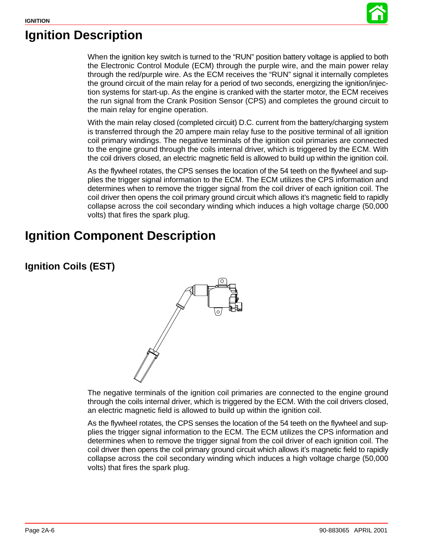

### **Ignition Description**

When the ignition key switch is turned to the "RUN" position battery voltage is applied to both the Electronic Control Module (ECM) through the purple wire, and the main power relay through the red/purple wire. As the ECM receives the "RUN" signal it internally completes the ground circuit of the main relay for a period of two seconds, energizing the ignition/injection systems for start-up. As the engine is cranked with the starter motor, the ECM receives the run signal from the Crank Position Sensor (CPS) and completes the ground circuit to the main relay for engine operation.

With the main relay closed (completed circuit) D.C. current from the battery/charging system is transferred through the 20 ampere main relay fuse to the positive terminal of all ignition coil primary windings. The negative terminals of the ignition coil primaries are connected to the engine ground through the coils internal driver, which is triggered by the ECM. With the coil drivers closed, an electric magnetic field is allowed to build up within the ignition coil.

As the flywheel rotates, the CPS senses the location of the 54 teeth on the flywheel and supplies the trigger signal information to the ECM. The ECM utilizes the CPS information and determines when to remove the trigger signal from the coil driver of each ignition coil. The coil driver then opens the coil primary ground circuit which allows it's magnetic field to rapidly collapse across the coil secondary winding which induces a high voltage charge (50,000 volts) that fires the spark plug.

### **Ignition Component Description**

### **Ignition Coils (EST)**



The negative terminals of the ignition coil primaries are connected to the engine ground through the coils internal driver, which is triggered by the ECM. With the coil drivers closed, an electric magnetic field is allowed to build up within the ignition coil.

As the flywheel rotates, the CPS senses the location of the 54 teeth on the flywheel and supplies the trigger signal information to the ECM. The ECM utilizes the CPS information and determines when to remove the trigger signal from the coil driver of each ignition coil. The coil driver then opens the coil primary ground circuit which allows it's magnetic field to rapidly collapse across the coil secondary winding which induces a high voltage charge (50,000 volts) that fires the spark plug.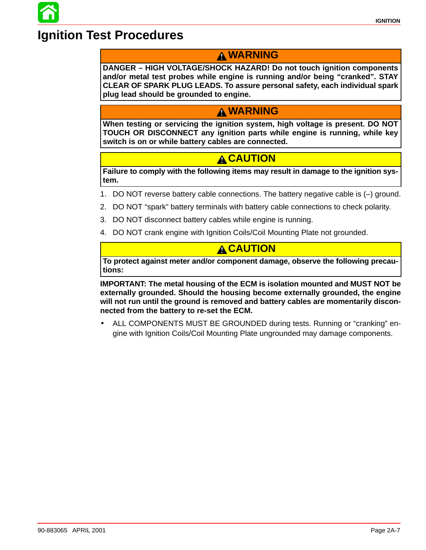### **Ignition Test Procedures**

### **WARNING**

**DANGER – HIGH VOLTAGE/SHOCK HAZARD! Do not touch ignition components and/or metal test probes while engine is running and/or being "cranked". STAY CLEAR OF SPARK PLUG LEADS. To assure personal safety, each individual spark plug lead should be grounded to engine.**

### **WARNING**

**When testing or servicing the ignition system, high voltage is present. DO NOT TOUCH OR DISCONNECT any ignition parts while engine is running, while key switch is on or while battery cables are connected.**

### **A CAUTION**

**Failure to comply with the following items may result in damage to the ignition system.**

- 1. DO NOT reverse battery cable connections. The battery negative cable is (–) ground.
- 2. DO NOT "spark" battery terminals with battery cable connections to check polarity.
- 3. DO NOT disconnect battery cables while engine is running.
- 4. DO NOT crank engine with Ignition Coils/Coil Mounting Plate not grounded.

#### **CAUTION**

**To protect against meter and/or component damage, observe the following precautions:**

**IMPORTANT: The metal housing of the ECM is isolation mounted and MUST NOT be externally grounded. Should the housing become externally grounded, the engine will not run until the ground is removed and battery cables are momentarily disconnected from the battery to re-set the ECM.**

• ALL COMPONENTS MUST BE GROUNDED during tests. Running or "cranking" engine with Ignition Coils/Coil Mounting Plate ungrounded may damage components.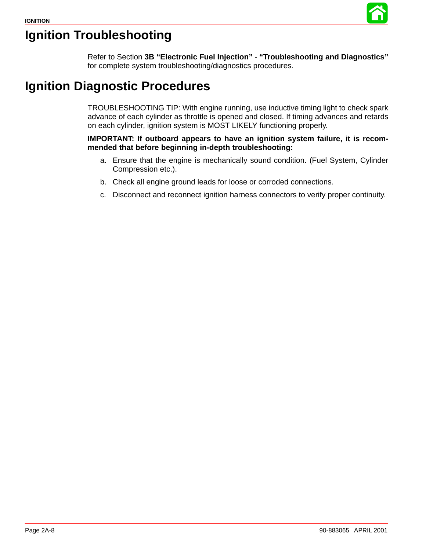

## **Ignition Troubleshooting**

Refer to Section **3B "Electronic Fuel Injection"** - **"Troubleshooting and Diagnostics"** for complete system troubleshooting/diagnostics procedures.

### **Ignition Diagnostic Procedures**

TROUBLESHOOTING TIP: With engine running, use inductive timing light to check spark advance of each cylinder as throttle is opened and closed. If timing advances and retards on each cylinder, ignition system is MOST LIKELY functioning properly.

**IMPORTANT: If outboard appears to have an ignition system failure, it is recommended that before beginning in-depth troubleshooting:**

- a. Ensure that the engine is mechanically sound condition. (Fuel System, Cylinder Compression etc.).
- b. Check all engine ground leads for loose or corroded connections.
- c. Disconnect and reconnect ignition harness connectors to verify proper continuity.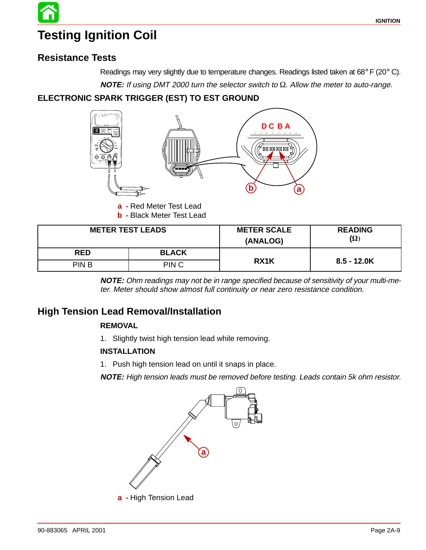# **Testing Ignition Coil**

### **Resistance Tests**

Readings may very slightly due to temperature changes. Readings listed taken at 68° F (20° C).

**NOTE:** If using DMT 2000 turn the selector switch to  $\Omega$ . Allow the meter to auto-range.

#### **ELECTRONIC SPARK TRIGGER (EST) TO EST GROUND**



**a -** Red Meter Test Lead

**b -** Black Meter Test Lead

| <b>METER TEST LEADS</b> |                  | <b>METER SCALE</b><br>(ANALOG) | <b>READING</b><br>$(\Omega)$ |
|-------------------------|------------------|--------------------------------|------------------------------|
| <b>RED</b>              | <b>BLACK</b>     |                                |                              |
| <b>PINB</b>             | PIN <sub>C</sub> | RX1K                           | $8.5 - 12.0K$                |

**NOTE:** Ohm readings may not be in range specified because of sensitivity of your multi-meter. Meter should show almost full continuity or near zero resistance condition.

### **High Tension Lead Removal/Installation**

#### **REMOVAL**

1. Slightly twist high tension lead while removing.

#### **INSTALLATION**

1. Push high tension lead on until it snaps in place.

**NOTE:** High tension leads must be removed before testing. Leads contain 5k ohm resistor.

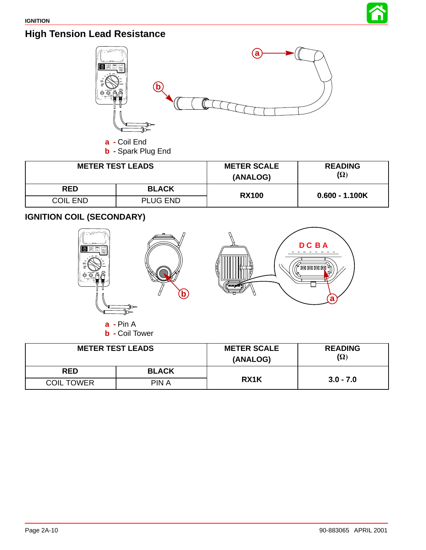

### **High Tension Lead Resistance**



| <b>METER TEST LEADS</b> |                 | <b>METER SCALE</b><br>(ANALOG) | <b>READING</b><br>$(\Omega)$ |  |
|-------------------------|-----------------|--------------------------------|------------------------------|--|
| <b>RED</b>              | <b>BLACK</b>    | <b>RX100</b>                   | $0.600 - 1.100K$             |  |
| <b>COIL END</b>         | <b>PLUG END</b> |                                |                              |  |

**IGNITION COIL (SECONDARY)**



| <b>METER TEST LEADS</b> |              | <b>METER SCALE</b><br>(ANALOG) | <b>READING</b><br>$(\Omega)$ |
|-------------------------|--------------|--------------------------------|------------------------------|
| <b>RED</b>              | <b>BLACK</b> |                                |                              |
| <b>COIL TOWER</b>       | PIN A        | RX1K                           | $3.0 - 7.0$                  |